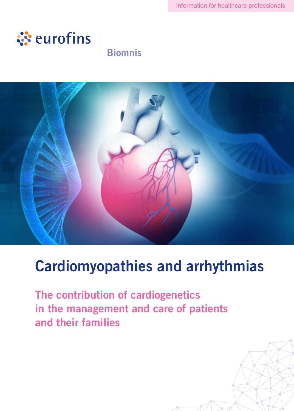

# **Biomnis**



# Cardiomyopathies and arrhythmias

The contribution of cardiogenetics in the management and care of patients and their families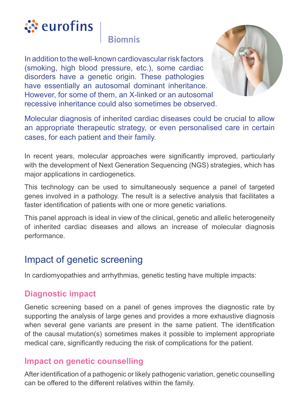

In addition to the well-known cardiovascular risk factors (smoking, high blood pressure, etc.), some cardiac disorders have a genetic origin. These pathologies have essentially an autosomal dominant inheritance. However, for some of them, an X-linked or an autosomal recessive inheritance could also sometimes be observed.



Molecular diagnosis of inherited cardiac diseases could be crucial to allow an appropriate therapeutic strategy, or even personalised care in certain cases, for each patient and their family.

In recent years, molecular approaches were significantly improved, particularly with the development of Next Generation Sequencing (NGS) strategies, which has major applications in cardiogenetics.

This technology can be used to simultaneously sequence a panel of targeted genes involved in a pathology. The result is a selective analysis that facilitates a faster identification of patients with one or more genetic variations.

This panel approach is ideal in view of the clinical, genetic and allelic heterogeneity of inherited cardiac diseases and allows an increase of molecular diagnosis performance.

#### Impact of genetic screening

In cardiomyopathies and arrhythmias, genetic testing have multiple impacts:

#### **Diagnostic impact**

Genetic screening based on a panel of genes improves the diagnostic rate by supporting the analysis of large genes and provides a more exhaustive diagnosis when several gene variants are present in the same patient. The identification of the causal mutation(s) sometimes makes it possible to implement appropriate medical care, significantly reducing the risk of complications for the patient.

#### **Impact on genetic counselling**

After identification of a pathogenic or likely pathogenic variation, genetic counselling can be offered to the different relatives within the family.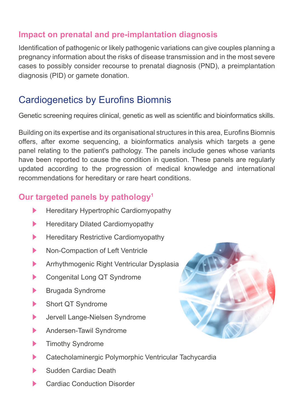#### **Impact on prenatal and pre-implantation diagnosis**

Identification of pathogenic or likely pathogenic variations can give couples planning a pregnancy information about the risks of disease transmission and in the most severe cases to possibly consider recourse to prenatal diagnosis (PND), a preimplantation diagnosis (PID) or gamete donation.

## Cardiogenetics by Eurofins Biomnis

Genetic screening requires clinical, genetic as well as scientific and bioinformatics skills.

Building on its expertise and its organisational structures in this area, Eurofins Biomnis offers, after exome sequencing, a bioinformatics analysis which targets a gene panel relating to the patient's pathology. The panels include genes whose variants have been reported to cause the condition in question. These panels are regularly updated according to the progression of medical knowledge and international recommendations for hereditary or rare heart conditions.

#### **Our targeted panels by pathology1**

- $\blacktriangleright$  Hereditary Hypertrophic Cardiomyopathy
- $\blacktriangleright$  Hereditary Dilated Cardiomyopathy
- **EXECUTE:** Hereditary Restrictive Cardiomyopathy
- Non-Compaction of Left Ventricle
- Arrhythmogenic Right Ventricular Dysplasia
- Congenital Long QT Syndrome
- Brugada Syndrome
- Short QT Syndrome
- Jervell Lange-Nielsen Syndrome
- Andersen-Tawil Syndrome
- $\blacktriangleright$  Timothy Syndrome
- ▶ Catecholaminergic Polymorphic Ventricular Tachycardia
- Sudden Cardiac Death
- Cardiac Conduction Disorder

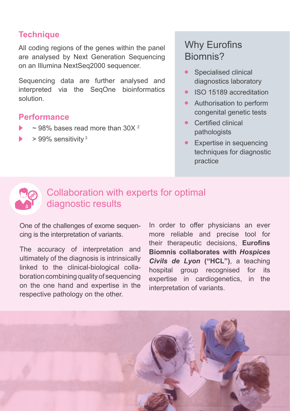#### **Technique**

All coding regions of the genes within the panel are analysed by Next Generation Sequencing on an Illumina NextSeq2000 sequencer.

Sequencing data are further analysed and interpreted via the SeqOne bioinformatics solution.

#### **Performance**

- $\sim$  98% bases read more than 30X  $^2$
- $> 99\%$  sensitivity  $3$

# Why Eurofins Biomnis?

- Specialised clinical diagnostics laboratory
- **•** ISO 15189 accreditation
- **•** Authorisation to perform congenital genetic tests
- **•** Certified clinical pathologists
- **•** Expertise in sequencing techniques for diagnostic practice



## Collaboration with experts for optimal diagnostic results

One of the challenges of exome sequencing is the interpretation of variants.

The accuracy of interpretation and ultimately of the diagnosis is intrinsically linked to the clinical-biological collaboration combining quality of sequencing on the one hand and expertise in the respective pathology on the other.

In order to offer physicians an ever more reliable and precise tool for their therapeutic decisions, **Eurofins Biomnis collaborates with** *Hospices Civils de Lyon* **("HCL")**, a teaching hospital group recognised for its expertise in cardiogenetics, in the interpretation of variants.

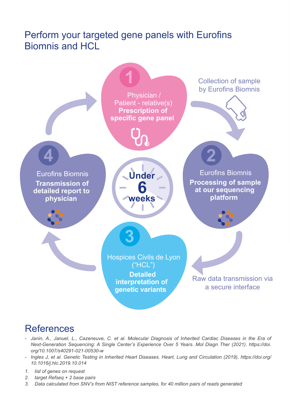#### Perform your targeted gene panels with Eurofins Biomnis and HCL



#### References

- *- Janin, A., Januel, L., Cazeneuve, C. et al. Molecular Diagnosis of Inherited Cardiac Diseases in the Era of Next-Generation Sequencing: A Single Center's Experience Over 5 Years. Mol Diagn Ther (2021). https://doi. org/10.1007/s40291-021-00530-w*
- *- Ingles J, et al. Genetic Testing in Inherited Heart Diseases. Heart, Lung and Circulation (2019), https://doi.org/ 10.1016/j.hlc.2019.10.014*
- *1. list of genes on request*
- *2. target Refseq + 2 base pairs*
- *3. Data calculated from SNV's from NIST reference samples, for 40 million pairs of reads generated*